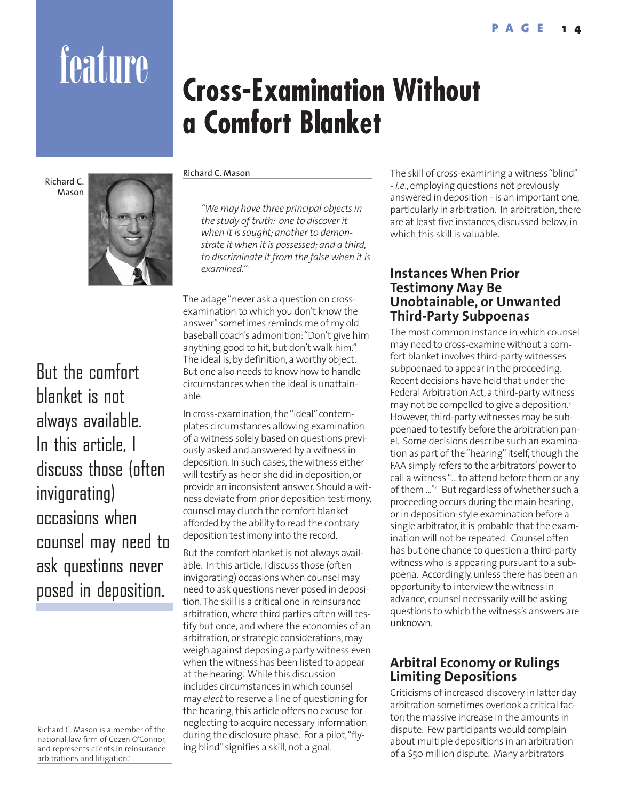# feature **Cross-Examination Without a Comfort Blanket**

Richard C. Mason



But the comfort blanket is not always available. In this article, I discuss those (often invigorating) occasions when counsel may need to ask questions never posed in deposition.

Richard C. Mason

*"We may have three principal objects in the study of truth: one to discover it when it is sought; another to demonstrate it when it is possessed; and a third, to discriminate it from the false when it is examined."2*

The adage "never ask a question on crossexamination to which you don't know the answer"sometimes reminds me of my old baseball coach's admonition:"Don't give him anything good to hit, but don't walk him." The ideal is, by definition, a worthy object. But one also needs to know how to handle circumstances when the ideal is unattainable.

In cross-examination, the "ideal"contemplates circumstances allowing examination of a witness solely based on questions previously asked and answered by a witness in deposition. In such cases, the witness either will testify as he or she did in deposition, or provide an inconsistent answer. Should a witness deviate from prior deposition testimony, counsel may clutch the comfort blanket afforded by the ability to read the contrary deposition testimony into the record.

But the comfort blanket is not always available. In this article, I discuss those (often invigorating) occasions when counsel may need to ask questions never posed in deposition.The skill is a critical one in reinsurance arbitration, where third parties often will testify but once, and where the economies of an arbitration, or strategic considerations, may weigh against deposing a party witness even when the witness has been listed to appear at the hearing. While this discussion includes circumstances in which counsel may *elect* to reserve a line of questioning for the hearing, this article offers no excuse for neglecting to acquire necessary information during the disclosure phase. For a pilot,"flying blind"signifies a skill, not a goal.

The skill of cross-examining a witness "blind" - *i.e*., employing questions not previously answered in deposition - is an important one, particularly in arbitration. In arbitration, there are at least five instances, discussed below, in which this skill is valuable.

# **Instances When Prior Testimony May Be Unobtainable, or Unwanted Third-Party Subpoenas**

The most common instance in which counsel may need to cross-examine without a comfort blanket involves third-party witnesses subpoenaed to appear in the proceeding. Recent decisions have held that under the Federal Arbitration Act, a third-party witness may not be compelled to give a deposition.<sup>3</sup> However, third-party witnesses may be subpoenaed to testify before the arbitration panel. Some decisions describe such an examination as part of the "hearing"itself, though the FAA simply refers to the arbitrators'power to call a witness "... to attend before them or any of them ..."4 But regardless of whether such a proceeding occurs during the main hearing, or in deposition-style examination before a single arbitrator, it is probable that the examination will not be repeated. Counsel often has but one chance to question a third-party witness who is appearing pursuant to a subpoena. Accordingly, unless there has been an opportunity to interview the witness in advance, counsel necessarily will be asking questions to which the witness's answers are unknown.

# **Arbitral Economy or Rulings Limiting Depositions**

Criticisms of increased discovery in latter day arbitration sometimes overlook a critical factor: the massive increase in the amounts in dispute. Few participants would complain about multiple depositions in an arbitration of a \$50 million dispute. Many arbitrators

Richard C. Mason is a member of the national law firm of Cozen O'Connor, and represents clients in reinsurance arbitrations and litigation.<sup>1</sup>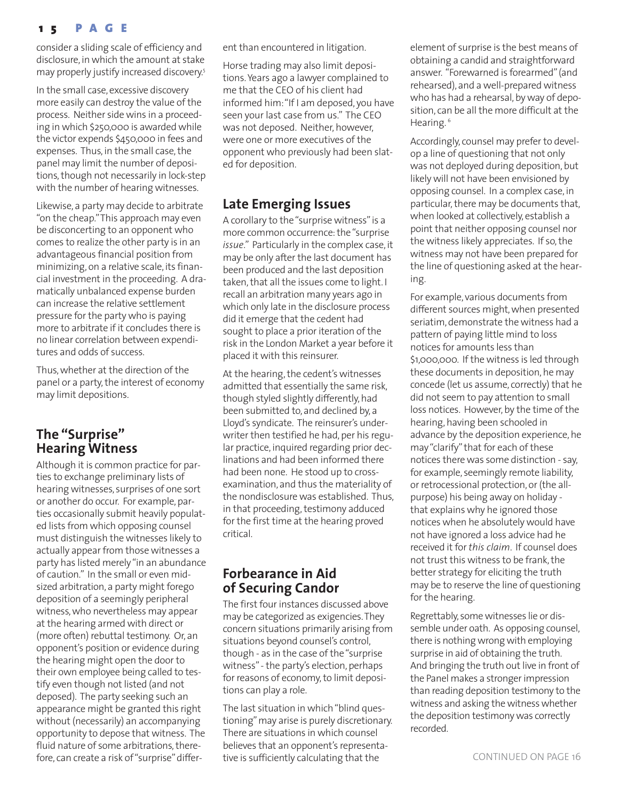## **1 5 PAGE**

consider a sliding scale of efficiency and disclosure, in which the amount at stake may properly justify increased discovery.<sup>5</sup>

In the small case, excessive discovery more easily can destroy the value of the process. Neither side wins in a proceeding in which \$250,000 is awarded while the victor expends \$450,000 in fees and expenses. Thus, in the small case, the panel may limit the number of depositions, though not necessarily in lock-step with the number of hearing witnesses.

Likewise, a party may decide to arbitrate "on the cheap."This approach may even be disconcerting to an opponent who comes to realize the other party is in an advantageous financial position from minimizing, on a relative scale, its financial investment in the proceeding. A dramatically unbalanced expense burden can increase the relative settlement pressure for the party who is paying more to arbitrate if it concludes there is no linear correlation between expenditures and odds of success.

Thus, whether at the direction of the panel or a party, the interest of economy may limit depositions.

# **The "Surprise" Hearing Witness**

Although it is common practice for parties to exchange preliminary lists of hearing witnesses, surprises of one sort or another do occur. For example, parties occasionally submit heavily populated lists from which opposing counsel must distinguish the witnesses likely to actually appear from those witnesses a party has listed merely "in an abundance of caution." In the small or even midsized arbitration, a party might forego deposition of a seemingly peripheral witness, who nevertheless may appear at the hearing armed with direct or (more often) rebuttal testimony. Or, an opponent's position or evidence during the hearing might open the door to their own employee being called to testify even though not listed (and not deposed). The party seeking such an appearance might be granted this right without (necessarily) an accompanying opportunity to depose that witness. The fluid nature of some arbitrations, therefore, can create a risk of "surprise" different than encountered in litigation.

Horse trading may also limit depositions. Years ago a lawyer complained to me that the CEO of his client had informed him:"If I am deposed, you have seen your last case from us." The CEO was not deposed. Neither, however, were one or more executives of the opponent who previously had been slated for deposition.

# **Late Emerging Issues**

A corollary to the "surprise witness"is a more common occurrence: the "surprise *issue*." Particularly in the complex case, it may be only after the last document has been produced and the last deposition taken, that all the issues come to light. I recall an arbitration many years ago in which only late in the disclosure process did it emerge that the cedent had sought to place a prior iteration of the risk in the London Market a year before it placed it with this reinsurer.

At the hearing, the cedent's witnesses admitted that essentially the same risk, though styled slightly differently, had been submitted to, and declined by, a Lloyd's syndicate. The reinsurer's underwriter then testified he had, per his regular practice, inquired regarding prior declinations and had been informed there had been none. He stood up to crossexamination, and thus the materiality of the nondisclosure was established. Thus, in that proceeding, testimony adduced for the first time at the hearing proved critical.

# **Forbearance in Aid of Securing Candor**

The first four instances discussed above may be categorized as exigencies.They concern situations primarily arising from situations beyond counsel's control, though - as in the case of the "surprise witness"- the party's election, perhaps for reasons of economy, to limit depositions can play a role.

The last situation in which "blind questioning"may arise is purely discretionary. There are situations in which counsel believes that an opponent's representative is sufficiently calculating that the

element of surprise is the best means of obtaining a candid and straightforward answer. "Forewarned is forearmed"(and rehearsed), and a well-prepared witness who has had a rehearsal, by way of deposition, can be all the more difficult at the Hearing.<sup>6</sup>

Accordingly, counsel may prefer to develop a line of questioning that not only was not deployed during deposition, but likely will not have been envisioned by opposing counsel. In a complex case, in particular, there may be documents that, when looked at collectively, establish a point that neither opposing counsel nor the witness likely appreciates. If so, the witness may not have been prepared for the line of questioning asked at the hearing.

For example, various documents from different sources might, when presented seriatim, demonstrate the witness had a pattern of paying little mind to loss notices for amounts less than \$1,000,000. If the witness is led through these documents in deposition, he may concede (let us assume, correctly) that he did not seem to pay attention to small loss notices. However, by the time of the hearing, having been schooled in advance by the deposition experience, he may "clarify" that for each of these notices there was some distinction - say, for example, seemingly remote liability, or retrocessional protection, or (the allpurpose) his being away on holiday that explains why he ignored those notices when he absolutely would have not have ignored a loss advice had he received it for *this claim*. If counsel does not trust this witness to be frank, the better strategy for eliciting the truth may be to reserve the line of questioning for the hearing.

Regrettably, some witnesses lie or dissemble under oath. As opposing counsel, there is nothing wrong with employing surprise in aid of obtaining the truth. And bringing the truth out live in front of the Panel makes a stronger impression than reading deposition testimony to the witness and asking the witness whether the deposition testimony was correctly recorded.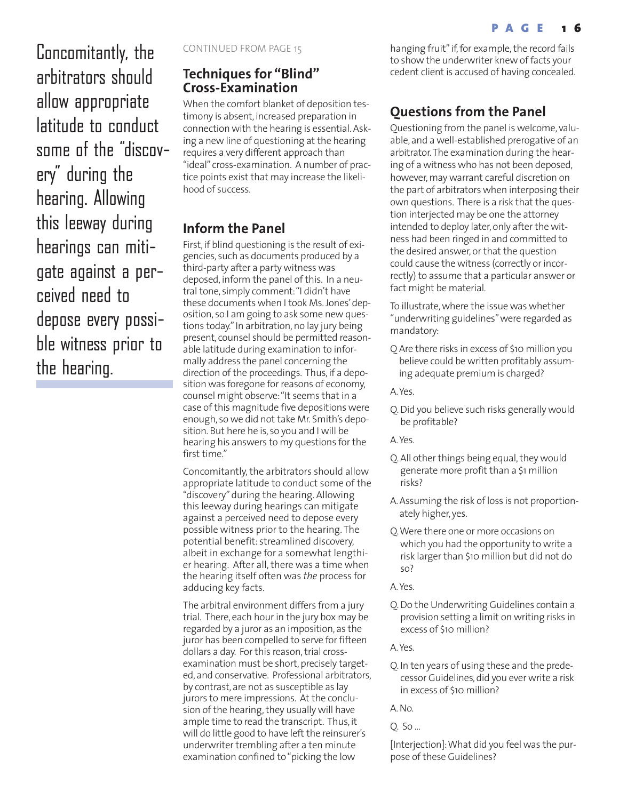Concomitantly, the arbitrators should allow appropriate latitude to conduct some of the "discovery" during the hearing. Allowing this leeway during hearings can mitigate against a perceived need to depose every possible witness prior to the hearing.

CONTINUED FROM PAGE 15

# **Techniques for "Blind" Cross-Examination**

When the comfort blanket of deposition testimony is absent, increased preparation in connection with the hearing is essential. Asking a new line of questioning at the hearing requires a very different approach than "ideal" cross-examination. A number of practice points exist that may increase the likelihood of success.

# **Inform the Panel**

First, if blind questioning is the result of exigencies, such as documents produced by a third-party after a party witness was deposed, inform the panel of this. In a neutral tone, simply comment:"I didn't have these documents when I took Ms. Jones'deposition, so I am going to ask some new questions today." In arbitration, no lay jury being present, counsel should be permitted reasonable latitude during examination to informally address the panel concerning the direction of the proceedings. Thus, if a deposition was foregone for reasons of economy, counsel might observe:"It seems that in a case of this magnitude five depositions were enough, so we did not take Mr. Smith's deposition. But here he is, so you and I will be hearing his answers to my questions for the first time."

Concomitantly, the arbitrators should allow appropriate latitude to conduct some of the "discovery" during the hearing. Allowing this leeway during hearings can mitigate against a perceived need to depose every possible witness prior to the hearing. The potential benefit: streamlined discovery, albeit in exchange for a somewhat lengthier hearing. After all, there was a time when the hearing itself often was *the* process for adducing key facts.

The arbitral environment differs from a jury trial. There, each hour in the jury box may be regarded by a juror as an imposition, as the juror has been compelled to serve for fifteen dollars a day. For this reason, trial crossexamination must be short, precisely targeted, and conservative. Professional arbitrators, by contrast, are not as susceptible as lay jurors to mere impressions. At the conclusion of the hearing, they usually will have ample time to read the transcript. Thus, it will do little good to have left the reinsurer's underwriter trembling after a ten minute examination confined to "picking the low

hanging fruit" if, for example, the record fails to show the underwriter knew of facts your cedent client is accused of having concealed.

# **Questions from the Panel**

Questioning from the panel is welcome, valuable, and a well-established prerogative of an arbitrator.The examination during the hearing of a witness who has not been deposed, however, may warrant careful discretion on the part of arbitrators when interposing their own questions. There is a risk that the question interjected may be one the attorney intended to deploy later, only after the witness had been ringed in and committed to the desired answer, or that the question could cause the witness (correctly or incorrectly) to assume that a particular answer or fact might be material.

To illustrate, where the issue was whether "underwriting guidelines"were regarded as mandatory:

Q Are there risks in excess of \$10 million you believe could be written profitably assuming adequate premium is charged?

A.Yes.

Q. Did you believe such risks generally would be profitable?

A.Yes.

- Q. All other things being equal, they would generate more profit than a \$1 million risks?
- A. Assuming the risk of loss is not proportionately higher, yes.
- Q.Were there one or more occasions on which you had the opportunity to write a risk larger than \$10 million but did not do so?

A.Yes.

Q. Do the Underwriting Guidelines contain a provision setting a limit on writing risks in excess of \$10 million?

A.Yes.

Q. In ten years of using these and the predecessor Guidelines, did you ever write a risk in excess of \$10 million?

A. No.

Q. So ...

[Interjection]:What did you feel was the purpose of these Guidelines?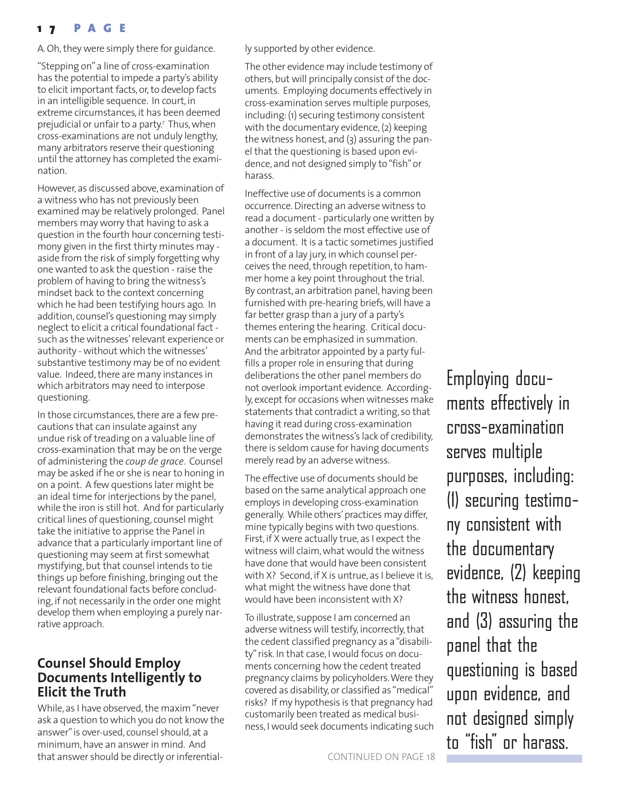# **1 7 PAGE**

A. Oh, they were simply there for guidance.

"Stepping on"a line of cross-examination has the potential to impede a party's ability to elicit important facts, or, to develop facts in an intelligible sequence. In court, in extreme circumstances, it has been deemed prejudicial or unfair to a party.7 Thus, when cross-examinations are not unduly lengthy, many arbitrators reserve their questioning until the attorney has completed the examination.

However, as discussed above, examination of a witness who has not previously been examined may be relatively prolonged. Panel members may worry that having to ask a question in the fourth hour concerning testimony given in the first thirty minutes may aside from the risk of simply forgetting why one wanted to ask the question - raise the problem of having to bring the witness's mindset back to the context concerning which he had been testifying hours ago. In addition, counsel's questioning may simply neglect to elicit a critical foundational fact such as the witnesses'relevant experience or authority - without which the witnesses' substantive testimony may be of no evident value. Indeed, there are many instances in which arbitrators may need to interpose questioning.

In those circumstances, there are a few precautions that can insulate against any undue risk of treading on a valuable line of cross-examination that may be on the verge of administering the *coup de grace*. Counsel may be asked if he or she is near to honing in on a point. A few questions later might be an ideal time for interjections by the panel, while the iron is still hot. And for particularly critical lines of questioning, counsel might take the initiative to apprise the Panel in advance that a particularly important line of questioning may seem at first somewhat mystifying, but that counsel intends to tie things up before finishing, bringing out the relevant foundational facts before concluding, if not necessarily in the order one might develop them when employing a purely narrative approach.

# **Counsel Should Employ Documents Intelligently to Elicit the Truth**

While, as I have observed, the maxim "never ask a question to which you do not know the answer"is over-used, counsel should, at a minimum, have an answer in mind. And that answer should be directly or inferentially supported by other evidence.

The other evidence may include testimony of others, but will principally consist of the documents. Employing documents effectively in cross-examination serves multiple purposes, including: (1) securing testimony consistent with the documentary evidence, (2) keeping the witness honest, and (3) assuring the panel that the questioning is based upon evidence, and not designed simply to "fish"or harass.

Ineffective use of documents is a common occurrence. Directing an adverse witness to read a document - particularly one written by another - is seldom the most effective use of a document. It is a tactic sometimes justified in front of a lay jury, in which counsel perceives the need, through repetition, to hammer home a key point throughout the trial. By contrast, an arbitration panel, having been furnished with pre-hearing briefs, will have a far better grasp than a jury of a party's themes entering the hearing. Critical documents can be emphasized in summation. And the arbitrator appointed by a party fulfills a proper role in ensuring that during deliberations the other panel members do not overlook important evidence. Accordingly, except for occasions when witnesses make statements that contradict a writing, so that having it read during cross-examination demonstrates the witness's lack of credibility, there is seldom cause for having documents merely read by an adverse witness.

The effective use of documents should be based on the same analytical approach one employs in developing cross-examination generally. While others'practices may differ, mine typically begins with two questions. First, if X were actually true, as I expect the witness will claim, what would the witness have done that would have been consistent with X? Second, if X is untrue, as I believe it is, what might the witness have done that would have been inconsistent with X?

To illustrate, suppose I am concerned an adverse witness will testify, incorrectly, that the cedent classified pregnancy as a "disability"risk. In that case, I would focus on documents concerning how the cedent treated pregnancy claims by policyholders.Were they covered as disability, or classified as "medical" risks? If my hypothesis is that pregnancy had customarily been treated as medical business, I would seek documents indicating such

Employing documents effectively in cross-examination serves multiple purposes, including: (1) securing testimony consistent with the documentary evidence, (2) keeping the witness honest, and (3) assuring the panel that the questioning is based upon evidence, and not designed simply to "fish" or harass.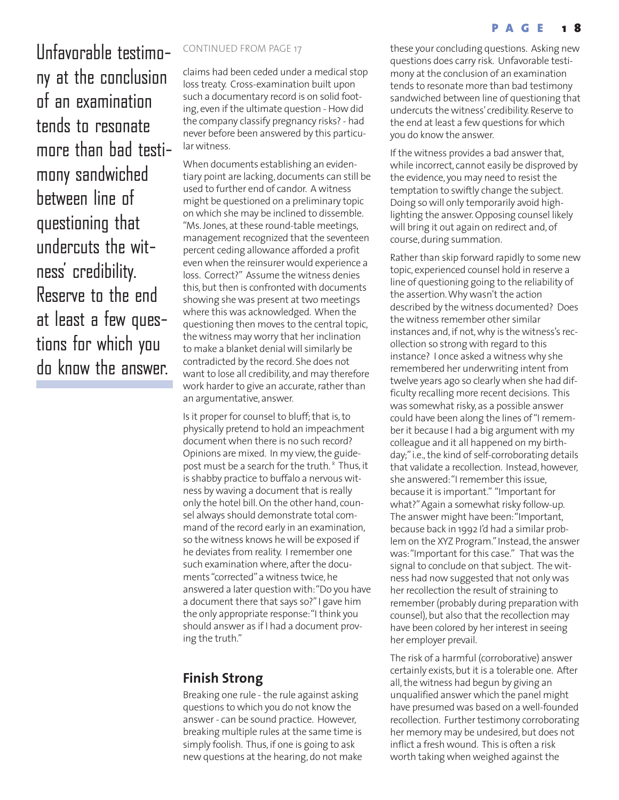Infavorable testimo- CONTINUED FROM PAGE 17 ny at the conclusion of an examination tends to resonate more than bad testimony sandwiched between line of questioning that undercuts the witness' credibility. Reserve to the end at least a few questions for which you do know the answer.

claims had been ceded under a medical stop loss treaty. Cross-examination built upon such a documentary record is on solid footing, even if the ultimate question - How did the company classify pregnancy risks? - had never before been answered by this particular witness.

When documents establishing an evidentiary point are lacking, documents can still be used to further end of candor. A witness might be questioned on a preliminary topic on which she may be inclined to dissemble. "Ms. Jones, at these round-table meetings, management recognized that the seventeen percent ceding allowance afforded a profit even when the reinsurer would experience a loss. Correct?" Assume the witness denies this, but then is confronted with documents showing she was present at two meetings where this was acknowledged. When the questioning then moves to the central topic, the witness may worry that her inclination to make a blanket denial will similarly be contradicted by the record. She does not want to lose all credibility, and may therefore work harder to give an accurate, rather than an argumentative, answer.

Is it proper for counsel to bluff; that is, to physically pretend to hold an impeachment document when there is no such record? Opinions are mixed. In my view, the guidepost must be a search for the truth.<sup>8</sup> Thus, it is shabby practice to buffalo a nervous witness by waving a document that is really only the hotel bill. On the other hand, counsel always should demonstrate total command of the record early in an examination, so the witness knows he will be exposed if he deviates from reality. I remember one such examination where, after the documents "corrected"a witness twice, he answered a later question with:"Do you have a document there that says so?"I gave him the only appropriate response:"I think you should answer as if I had a document proving the truth."

# **Finish Strong**

Breaking one rule - the rule against asking questions to which you do not know the answer - can be sound practice. However, breaking multiple rules at the same time is simply foolish. Thus, if one is going to ask new questions at the hearing, do not make

these your concluding questions. Asking new questions does carry risk. Unfavorable testimony at the conclusion of an examination tends to resonate more than bad testimony sandwiched between line of questioning that undercuts the witness'credibility. Reserve to the end at least a few questions for which you do know the answer.

If the witness provides a bad answer that, while incorrect, cannot easily be disproved by the evidence, you may need to resist the temptation to swiftly change the subject. Doing so will only temporarily avoid highlighting the answer. Opposing counsel likely will bring it out again on redirect and, of course, during summation.

Rather than skip forward rapidly to some new topic, experienced counsel hold in reserve a line of questioning going to the reliability of the assertion.Why wasn't the action described by the witness documented? Does the witness remember other similar instances and, if not, why is the witness's recollection so strong with regard to this instance? I once asked a witness why she remembered her underwriting intent from twelve years ago so clearly when she had difficulty recalling more recent decisions. This was somewhat risky, as a possible answer could have been along the lines of "I remember it because I had a big argument with my colleague and it all happened on my birthday;"i.e., the kind of self-corroborating details that validate a recollection. Instead, however, she answered:"I remember this issue, because it is important." "Important for what?"Again a somewhat risky follow-up. The answer might have been:"Important, because back in 1992 I'd had a similar problem on the XYZ Program."Instead, the answer was:"Important for this case." That was the signal to conclude on that subject. The witness had now suggested that not only was her recollection the result of straining to remember (probably during preparation with counsel), but also that the recollection may have been colored by her interest in seeing her employer prevail.

The risk of a harmful (corroborative) answer certainly exists, but it is a tolerable one. After all, the witness had begun by giving an unqualified answer which the panel might have presumed was based on a well-founded recollection. Further testimony corroborating her memory may be undesired, but does not inflict a fresh wound. This is often a risk worth taking when weighed against the